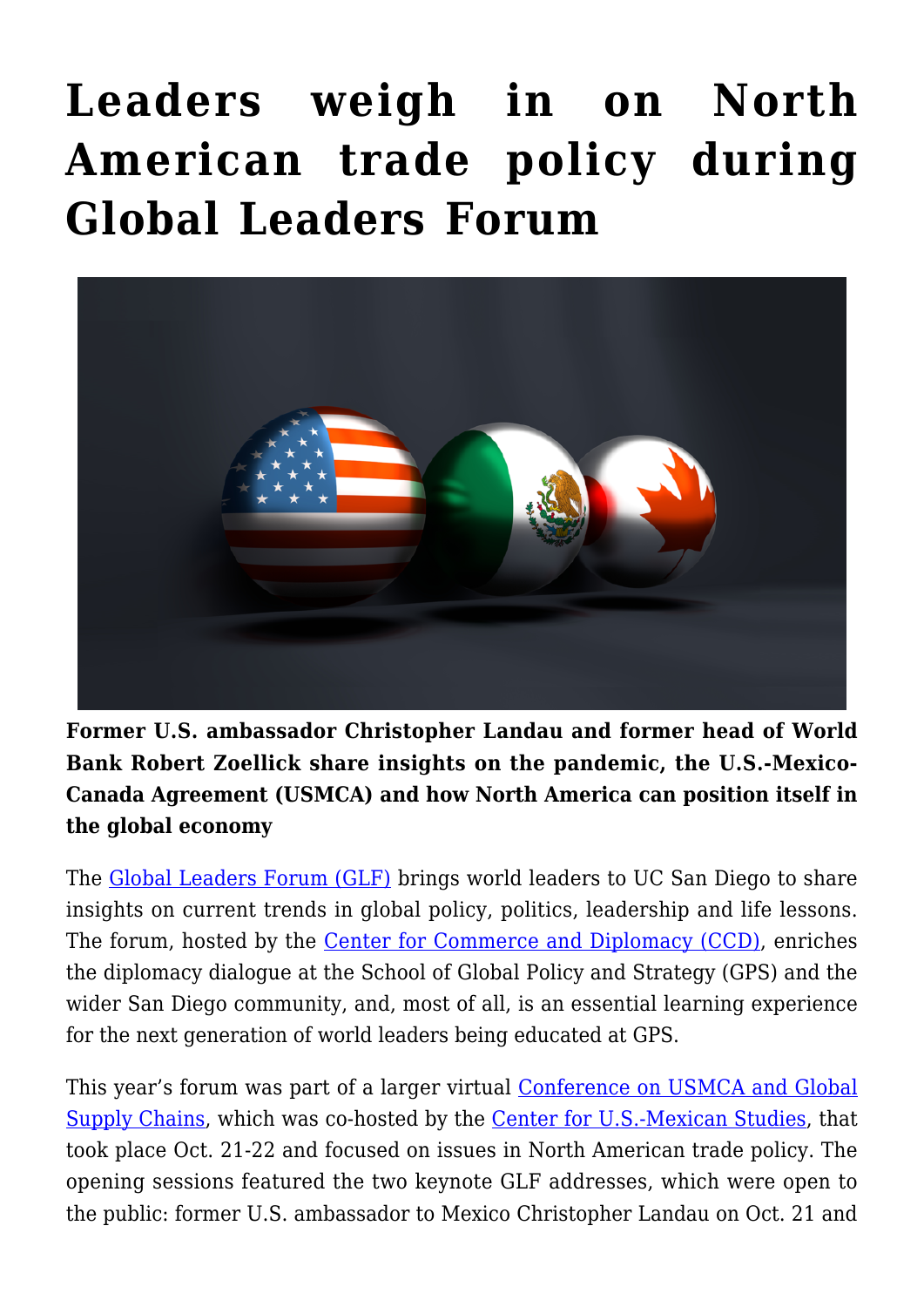## **[Leaders weigh in on North](https://gpsnews.ucsd.edu/leaders-weigh-in-on-north-american-trade-policy-during-global-leaders-forum/) [American trade policy during](https://gpsnews.ucsd.edu/leaders-weigh-in-on-north-american-trade-policy-during-global-leaders-forum/) [Global Leaders Forum](https://gpsnews.ucsd.edu/leaders-weigh-in-on-north-american-trade-policy-during-global-leaders-forum/)**



**Former U.S. ambassador Christopher Landau and former head of World Bank Robert Zoellick share insights on the pandemic, the U.S.-Mexico-Canada Agreement (USMCA) and how North America can position itself in the global economy**

The [Global Leaders Forum \(GLF\)](https://ccd.ucsd.edu/events/global-leaders-forum.html) brings world leaders to UC San Diego to share insights on current trends in global policy, politics, leadership and life lessons. The forum, hosted by the [Center for Commerce and Diplomacy \(CCD\)](https://ccd.ucsd.edu/), enriches the diplomacy dialogue at the School of Global Policy and Strategy (GPS) and the wider San Diego community, and, most of all, is an essential learning experience for the next generation of world leaders being educated at GPS.

This year's forum was part of a larger virtual [Conference on USMCA and Global](https://ccd.ucsd.edu/events/conference-on-usmca-and-global-supply-chains.html) [Supply Chains](https://ccd.ucsd.edu/events/conference-on-usmca-and-global-supply-chains.html), which was co-hosted by the [Center for U.S.-Mexican Studies,](https://usmex.ucsd.edu/) that took place Oct. 21-22 and focused on issues in North American trade policy. The opening sessions featured the two keynote GLF addresses, which were open to the public: former U.S. ambassador to Mexico Christopher Landau on Oct. 21 and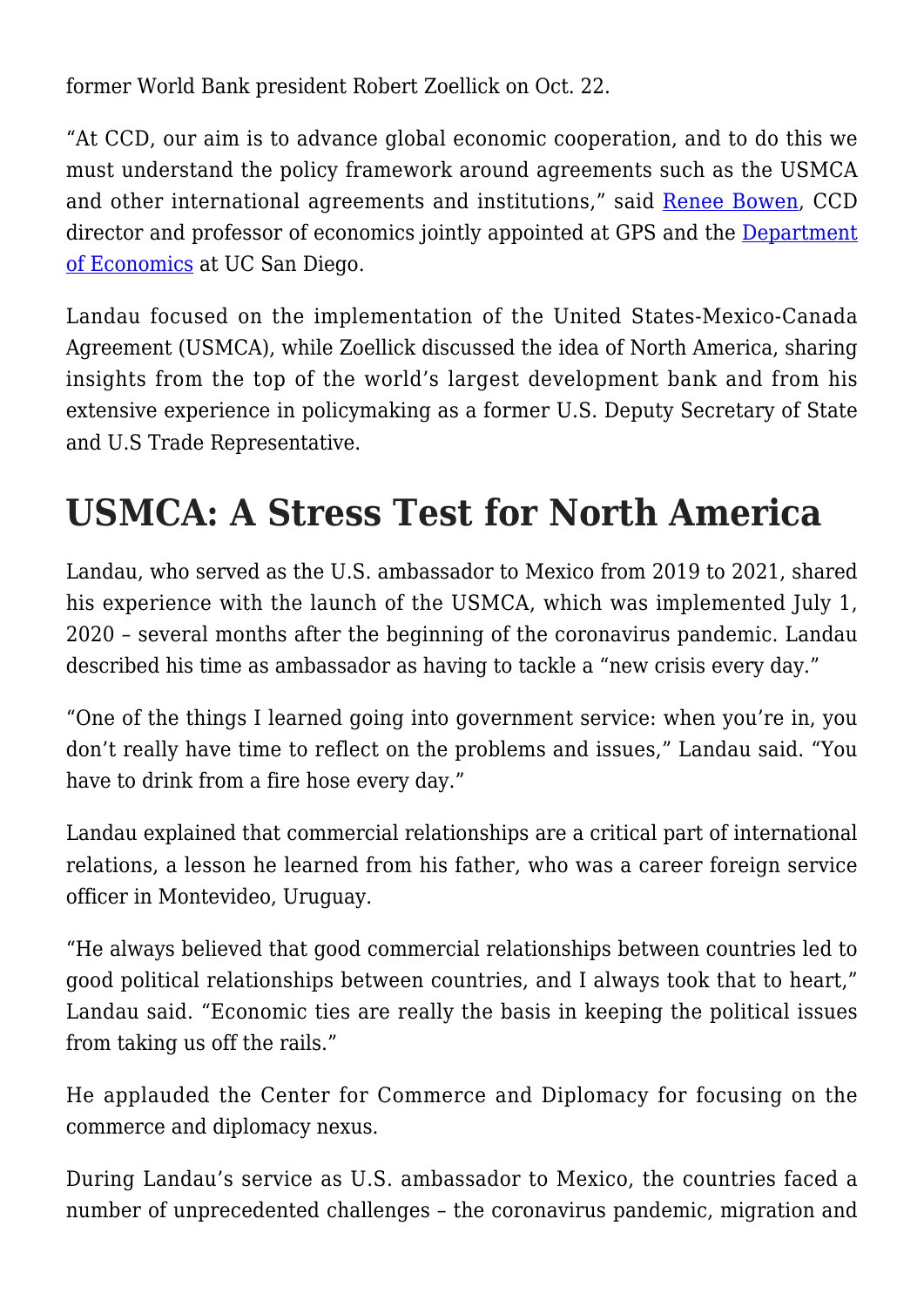former World Bank president Robert Zoellick on Oct. 22.

"At CCD, our aim is to advance global economic cooperation, and to do this we must understand the policy framework around agreements such as the USMCA and other international agreements and institutions," said [Renee Bowen,](https://gps.ucsd.edu/faculty-directory/renee-bowen.html) CCD director and professor of economics jointly appointed at GPS and the [Department](https://economics.ucsd.edu/) [of Economics](https://economics.ucsd.edu/) at UC San Diego.

Landau focused on the implementation of the United States-Mexico-Canada Agreement (USMCA), while Zoellick discussed the idea of North America, sharing insights from the top of the world's largest development bank and from his extensive experience in policymaking as a former U.S. Deputy Secretary of State and U.S Trade Representative.

## **USMCA: A Stress Test for North America**

Landau, who served as the U.S. ambassador to Mexico from 2019 to 2021, shared his experience with the launch of the USMCA, which was implemented July 1. 2020 – several months after the beginning of the coronavirus pandemic. Landau described his time as ambassador as having to tackle a "new crisis every day."

"One of the things I learned going into government service: when you're in, you don't really have time to reflect on the problems and issues," Landau said. "You have to drink from a fire hose every day."

Landau explained that commercial relationships are a critical part of international relations, a lesson he learned from his father, who was a career foreign service officer in Montevideo, Uruguay.

"He always believed that good commercial relationships between countries led to good political relationships between countries, and I always took that to heart," Landau said. "Economic ties are really the basis in keeping the political issues from taking us off the rails."

He applauded the Center for Commerce and Diplomacy for focusing on the commerce and diplomacy nexus.

During Landau's service as U.S. ambassador to Mexico, the countries faced a number of unprecedented challenges – the coronavirus pandemic, migration and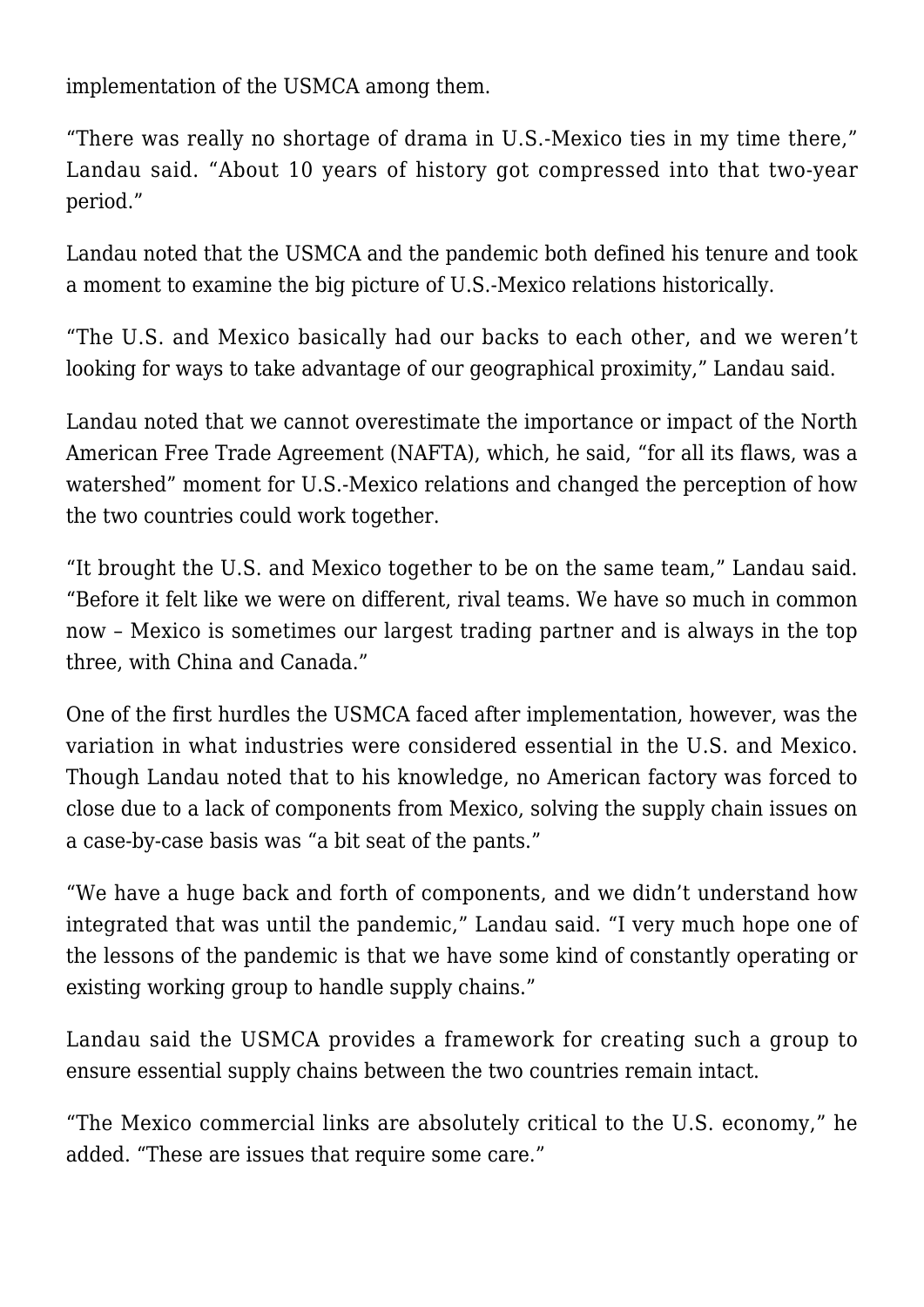implementation of the USMCA among them.

"There was really no shortage of drama in U.S.-Mexico ties in my time there," Landau said. "About 10 years of history got compressed into that two-year period."

Landau noted that the USMCA and the pandemic both defined his tenure and took a moment to examine the big picture of U.S.-Mexico relations historically.

"The U.S. and Mexico basically had our backs to each other, and we weren't looking for ways to take advantage of our geographical proximity," Landau said.

Landau noted that we cannot overestimate the importance or impact of the North American Free Trade Agreement (NAFTA), which, he said, "for all its flaws, was a watershed" moment for U.S.-Mexico relations and changed the perception of how the two countries could work together.

"It brought the U.S. and Mexico together to be on the same team," Landau said. "Before it felt like we were on different, rival teams. We have so much in common now – Mexico is sometimes our largest trading partner and is always in the top three, with China and Canada."

One of the first hurdles the USMCA faced after implementation, however, was the variation in what industries were considered essential in the U.S. and Mexico. Though Landau noted that to his knowledge, no American factory was forced to close due to a lack of components from Mexico, solving the supply chain issues on a case-by-case basis was "a bit seat of the pants."

"We have a huge back and forth of components, and we didn't understand how integrated that was until the pandemic," Landau said. "I very much hope one of the lessons of the pandemic is that we have some kind of constantly operating or existing working group to handle supply chains."

Landau said the USMCA provides a framework for creating such a group to ensure essential supply chains between the two countries remain intact.

"The Mexico commercial links are absolutely critical to the U.S. economy," he added. "These are issues that require some care."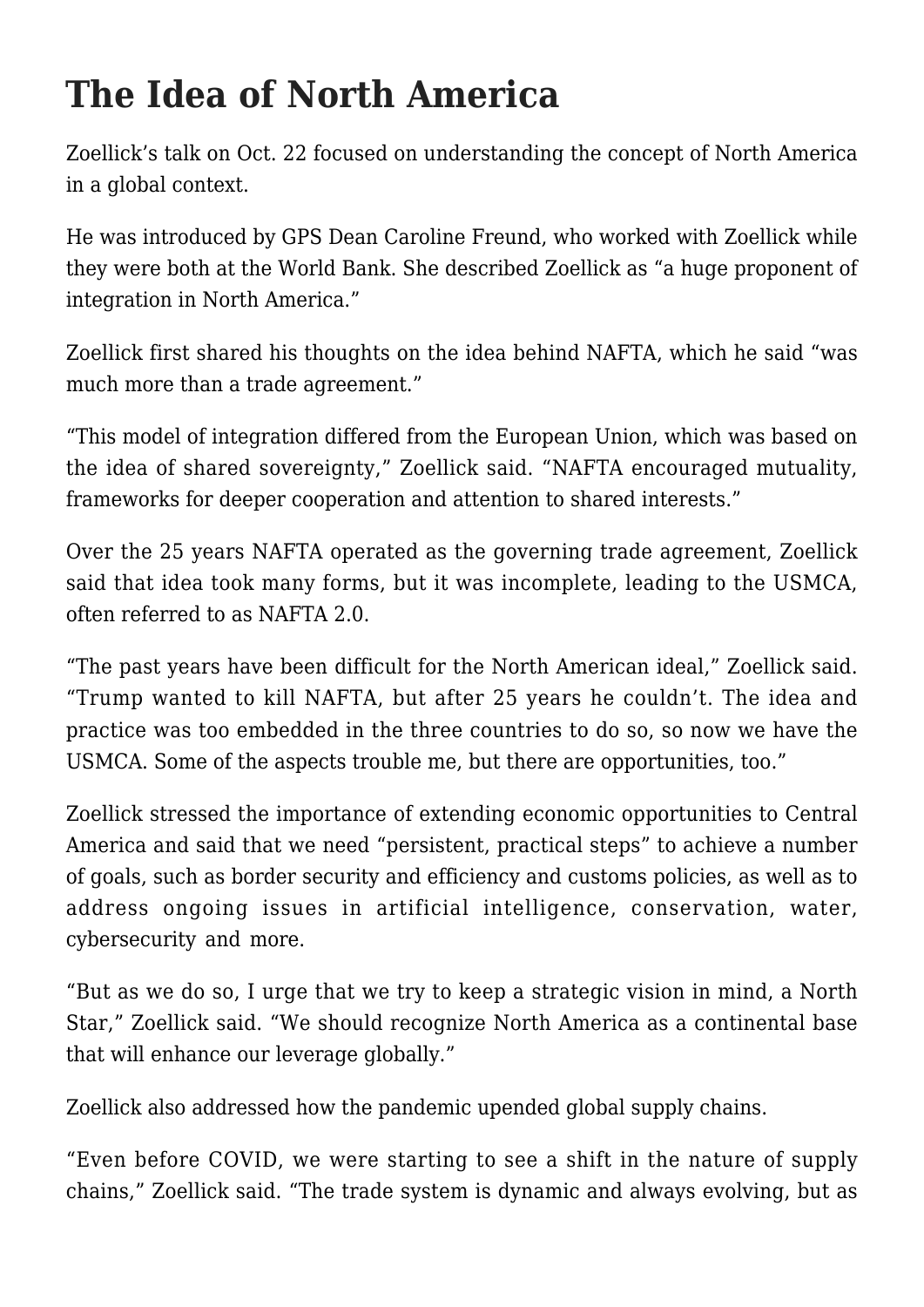## **The Idea of North America**

Zoellick's talk on Oct. 22 focused on understanding the concept of North America in a global context.

He was introduced by GPS Dean Caroline Freund, who worked with Zoellick while they were both at the World Bank. She described Zoellick as "a huge proponent of integration in North America."

Zoellick first shared his thoughts on the idea behind NAFTA, which he said "was much more than a trade agreement."

"This model of integration differed from the European Union, which was based on the idea of shared sovereignty," Zoellick said. "NAFTA encouraged mutuality, frameworks for deeper cooperation and attention to shared interests."

Over the 25 years NAFTA operated as the governing trade agreement, Zoellick said that idea took many forms, but it was incomplete, leading to the USMCA, often referred to as NAFTA 2.0.

"The past years have been difficult for the North American ideal," Zoellick said. "Trump wanted to kill NAFTA, but after 25 years he couldn't. The idea and practice was too embedded in the three countries to do so, so now we have the USMCA. Some of the aspects trouble me, but there are opportunities, too."

Zoellick stressed the importance of extending economic opportunities to Central America and said that we need "persistent, practical steps" to achieve a number of goals, such as border security and efficiency and customs policies, as well as to address ongoing issues in artificial intelligence, conservation, water, cybersecurity and more.

"But as we do so, I urge that we try to keep a strategic vision in mind, a North Star," Zoellick said. "We should recognize North America as a continental base that will enhance our leverage globally."

Zoellick also addressed how the pandemic upended global supply chains.

"Even before COVID, we were starting to see a shift in the nature of supply chains," Zoellick said. "The trade system is dynamic and always evolving, but as